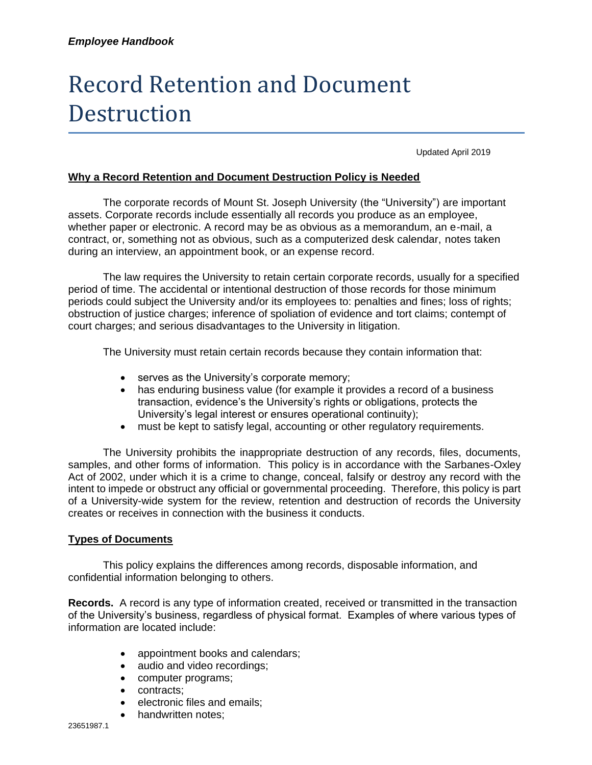# Record Retention and Document **Destruction**

Updated April 2019

## **Why a Record Retention and Document Destruction Policy is Needed**

The corporate records of Mount St. Joseph University (the "University") are important assets. Corporate records include essentially all records you produce as an employee, whether paper or electronic. A record may be as obvious as a memorandum, an e-mail, a contract, or, something not as obvious, such as a computerized desk calendar, notes taken during an interview, an appointment book, or an expense record.

The law requires the University to retain certain corporate records, usually for a specified period of time. The accidental or intentional destruction of those records for those minimum periods could subject the University and/or its employees to: penalties and fines; loss of rights; obstruction of justice charges; inference of spoliation of evidence and tort claims; contempt of court charges; and serious disadvantages to the University in litigation.

The University must retain certain records because they contain information that:

- serves as the University's corporate memory;
- has enduring business value (for example it provides a record of a business transaction, evidence's the University's rights or obligations, protects the University's legal interest or ensures operational continuity);
- must be kept to satisfy legal, accounting or other regulatory requirements.

The University prohibits the inappropriate destruction of any records, files, documents, samples, and other forms of information. This policy is in accordance with the Sarbanes-Oxley Act of 2002, under which it is a crime to change, conceal, falsify or destroy any record with the intent to impede or obstruct any official or governmental proceeding. Therefore, this policy is part of a University-wide system for the review, retention and destruction of records the University creates or receives in connection with the business it conducts.

## **Types of Documents**

This policy explains the differences among records, disposable information, and confidential information belonging to others.

**Records.** A record is any type of information created, received or transmitted in the transaction of the University's business, regardless of physical format. Examples of where various types of information are located include:

- appointment books and calendars;
- audio and video recordings;
- computer programs;
- contracts;
- electronic files and emails;
- handwritten notes: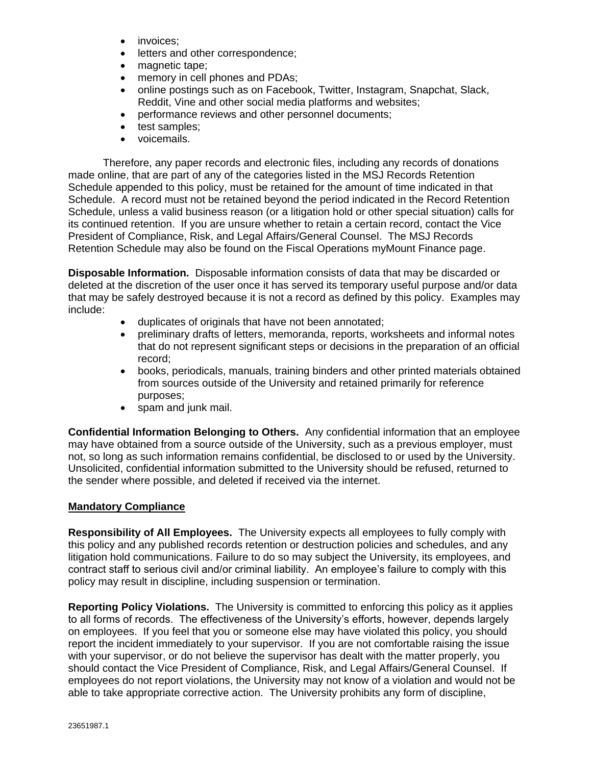- invoices;
- letters and other correspondence;
- magnetic tape:
- memory in cell phones and PDAs;
- online postings such as on Facebook, Twitter, Instagram, Snapchat, Slack, Reddit, Vine and other social media platforms and websites;
- performance reviews and other personnel documents;
- test samples;
- voicemails.

Therefore, any paper records and electronic files, including any records of donations made online, that are part of any of the categories listed in the MSJ Records Retention Schedule appended to this policy, must be retained for the amount of time indicated in that Schedule. A record must not be retained beyond the period indicated in the Record Retention Schedule, unless a valid business reason (or a litigation hold or other special situation) calls for its continued retention. If you are unsure whether to retain a certain record, contact the Vice President of Compliance, Risk, and Legal Affairs/General Counsel. The MSJ Records Retention Schedule may also be found on the Fiscal Operations myMount Finance page.

**Disposable Information.** Disposable information consists of data that may be discarded or deleted at the discretion of the user once it has served its temporary useful purpose and/or data that may be safely destroyed because it is not a record as defined by this policy. Examples may include:

- duplicates of originals that have not been annotated;
- preliminary drafts of letters, memoranda, reports, worksheets and informal notes that do not represent significant steps or decisions in the preparation of an official record;
- books, periodicals, manuals, training binders and other printed materials obtained from sources outside of the University and retained primarily for reference purposes;
- spam and junk mail.

**Confidential Information Belonging to Others.** Any confidential information that an employee may have obtained from a source outside of the University, such as a previous employer, must not, so long as such information remains confidential, be disclosed to or used by the University. Unsolicited, confidential information submitted to the University should be refused, returned to the sender where possible, and deleted if received via the internet.

## **Mandatory Compliance**

**Responsibility of All Employees.** The University expects all employees to fully comply with this policy and any published records retention or destruction policies and schedules, and any litigation hold communications. Failure to do so may subject the University, its employees, and contract staff to serious civil and/or criminal liability. An employee's failure to comply with this policy may result in discipline, including suspension or termination.

**Reporting Policy Violations.** The University is committed to enforcing this policy as it applies to all forms of records. The effectiveness of the University's efforts, however, depends largely on employees. If you feel that you or someone else may have violated this policy, you should report the incident immediately to your supervisor. If you are not comfortable raising the issue with your supervisor, or do not believe the supervisor has dealt with the matter properly, you should contact the Vice President of Compliance, Risk, and Legal Affairs/General Counsel. If employees do not report violations, the University may not know of a violation and would not be able to take appropriate corrective action. The University prohibits any form of discipline,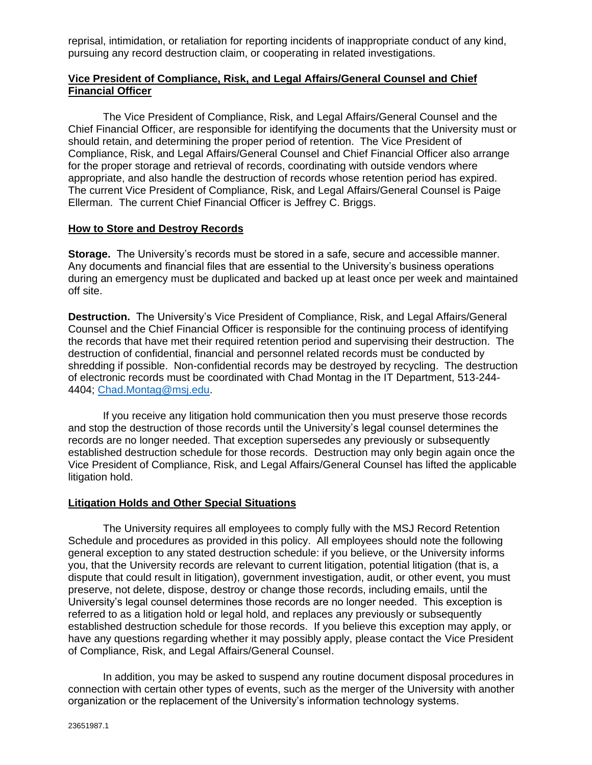reprisal, intimidation, or retaliation for reporting incidents of inappropriate conduct of any kind, pursuing any record destruction claim, or cooperating in related investigations.

# **Vice President of Compliance, Risk, and Legal Affairs/General Counsel and Chief Financial Officer**

The Vice President of Compliance, Risk, and Legal Affairs/General Counsel and the Chief Financial Officer, are responsible for identifying the documents that the University must or should retain, and determining the proper period of retention. The Vice President of Compliance, Risk, and Legal Affairs/General Counsel and Chief Financial Officer also arrange for the proper storage and retrieval of records, coordinating with outside vendors where appropriate, and also handle the destruction of records whose retention period has expired. The current Vice President of Compliance, Risk, and Legal Affairs/General Counsel is Paige Ellerman. The current Chief Financial Officer is Jeffrey C. Briggs.

## **How to Store and Destroy Records**

**Storage.** The University's records must be stored in a safe, secure and accessible manner. Any documents and financial files that are essential to the University's business operations during an emergency must be duplicated and backed up at least once per week and maintained off site.

**Destruction.** The University's Vice President of Compliance, Risk, and Legal Affairs/General Counsel and the Chief Financial Officer is responsible for the continuing process of identifying the records that have met their required retention period and supervising their destruction. The destruction of confidential, financial and personnel related records must be conducted by shredding if possible. Non-confidential records may be destroyed by recycling. The destruction of electronic records must be coordinated with Chad Montag in the IT Department, 513-244- 4404; [Chad.Montag@msj.edu.](mailto:Chad.Montag@msj.edu)

If you receive any litigation hold communication then you must preserve those records and stop the destruction of those records until the University's legal counsel determines the records are no longer needed. That exception supersedes any previously or subsequently established destruction schedule for those records. Destruction may only begin again once the Vice President of Compliance, Risk, and Legal Affairs/General Counsel has lifted the applicable litigation hold.

## **Litigation Holds and Other Special Situations**

The University requires all employees to comply fully with the MSJ Record Retention Schedule and procedures as provided in this policy. All employees should note the following general exception to any stated destruction schedule: if you believe, or the University informs you, that the University records are relevant to current litigation, potential litigation (that is, a dispute that could result in litigation), government investigation, audit, or other event, you must preserve, not delete, dispose, destroy or change those records, including emails, until the University's legal counsel determines those records are no longer needed. This exception is referred to as a litigation hold or legal hold, and replaces any previously or subsequently established destruction schedule for those records. If you believe this exception may apply, or have any questions regarding whether it may possibly apply, please contact the Vice President of Compliance, Risk, and Legal Affairs/General Counsel.

In addition, you may be asked to suspend any routine document disposal procedures in connection with certain other types of events, such as the merger of the University with another organization or the replacement of the University's information technology systems.